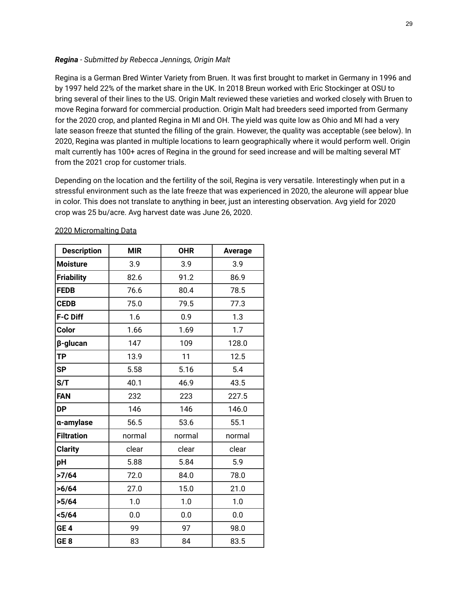## *Regina - Submitted by Rebecca Jennings, Origin Malt*

Regina is a German Bred Winter Variety from Bruen. It was first brought to market in Germany in 1996 and by 1997 held 22% of the market share in the UK. In 2018 Breun worked with Eric Stockinger at OSU to bring several of their lines to the US. Origin Malt reviewed these varieties and worked closely with Bruen to move Regina forward for commercial production. Origin Malt had breeders seed imported from Germany for the 2020 crop, and planted Regina in MI and OH. The yield was quite low as Ohio and MI had a very late season freeze that stunted the filling of the grain. However, the quality was acceptable (see below). In 2020, Regina was planted in multiple locations to learn geographically where it would perform well. Origin malt currently has 100+ acres of Regina in the ground for seed increase and will be malting several MT from the 2021 crop for customer trials.

Depending on the location and the fertility of the soil, Regina is very versatile. Interestingly when put in a stressful environment such as the late freeze that was experienced in 2020, the aleurone will appear blue in color. This does not translate to anything in beer, just an interesting observation. Avg yield for 2020 crop was 25 bu/acre. Avg harvest date was June 26, 2020.

| <b>Description</b> | <b>MIR</b> | <b>OHR</b> | Average |  |
|--------------------|------------|------------|---------|--|
| <b>Moisture</b>    | 3.9        | 3.9        | 3.9     |  |
| <b>Friability</b>  | 82.6       | 91.2       | 86.9    |  |
| <b>FEDB</b>        | 76.6       | 80.4       | 78.5    |  |
| <b>CEDB</b>        | 75.0       | 79.5       | 77.3    |  |
| F-C Diff           | 1.6        | 0.9        | 1.3     |  |
| Color              | 1.66       | 1.69       | 1.7     |  |
| β-glucan           | 147        | 109        | 128.0   |  |
| <b>TP</b>          | 13.9       | 11         | 12.5    |  |
| <b>SP</b>          | 5.58       | 5.16       | 5.4     |  |
| S/T                | 40.1       | 46.9       | 43.5    |  |
| FAN                | 232        | 223        | 227.5   |  |
| <b>DP</b>          | 146        | 146        | 146.0   |  |
| a-amylase          | 56.5       | 53.6       | 55.1    |  |
| <b>Filtration</b>  | normal     | normal     | normal  |  |
| <b>Clarity</b>     | clear      | clear      | clear   |  |
| pН                 | 5.88       | 5.84       | 5.9     |  |
| >7/64              | 72.0       | 84.0       | 78.0    |  |
| >6/64              | 27.0       | 15.0       | 21.0    |  |
| >5/64              | 1.0        | 1.0        | 1.0     |  |
| $5/64$             | 0.0        | 0.0        | 0.0     |  |
| GE <sub>4</sub>    | 99         | 97         | 98.0    |  |
| GE <sub>8</sub>    | 83         | 84         | 83.5    |  |

## 2020 Micromalting Data